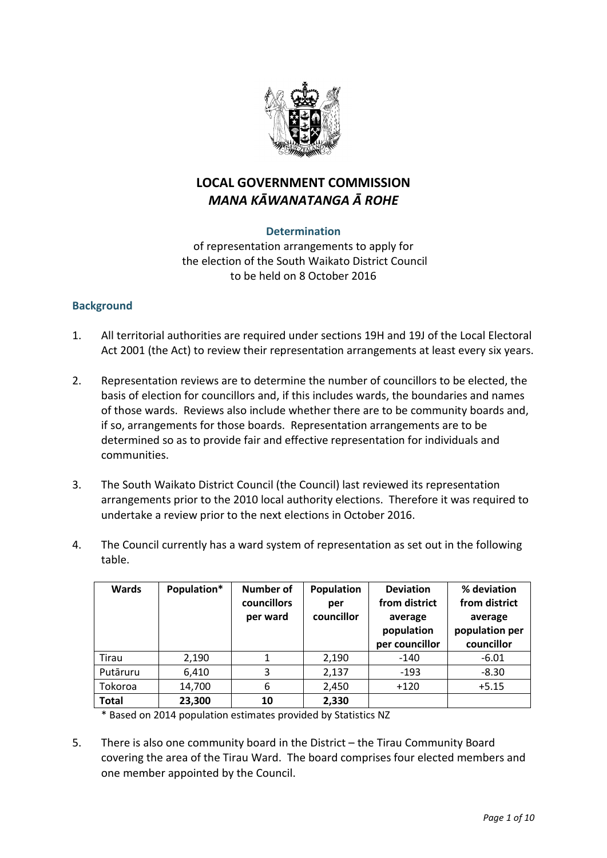

# **LOCAL GOVERNMENT COMMISSION** *MANA KĀWANATANGA Ā ROHE*

# **Determination**

of representation arrangements to apply for the election of the South Waikato District Council to be held on 8 October 2016

# **Background**

- 1. All territorial authorities are required under sections 19H and 19J of the Local Electoral Act 2001 (the Act) to review their representation arrangements at least every six years.
- 2. Representation reviews are to determine the number of councillors to be elected, the basis of election for councillors and, if this includes wards, the boundaries and names of those wards. Reviews also include whether there are to be community boards and, if so, arrangements for those boards. Representation arrangements are to be determined so as to provide fair and effective representation for individuals and communities.
- 3. The South Waikato District Council (the Council) last reviewed its representation arrangements prior to the 2010 local authority elections. Therefore it was required to undertake a review prior to the next elections in October 2016.
- 4. The Council currently has a ward system of representation as set out in the following table.

| <b>Wards</b> | Population* | <b>Number of</b><br>councillors<br>per ward | Population<br>per<br>councillor | <b>Deviation</b><br>from district<br>average<br>population<br>per councillor | % deviation<br>from district<br>average<br>population per<br>councillor |
|--------------|-------------|---------------------------------------------|---------------------------------|------------------------------------------------------------------------------|-------------------------------------------------------------------------|
| Tirau        | 2,190       |                                             | 2,190                           | $-140$                                                                       | $-6.01$                                                                 |
| Putāruru     | 6,410       | 3                                           | 2,137                           | $-193$                                                                       | $-8.30$                                                                 |
| Tokoroa      | 14,700      | 6                                           | 2,450                           | $+120$                                                                       | $+5.15$                                                                 |
| <b>Total</b> | 23,300      | 10                                          | 2,330                           |                                                                              |                                                                         |

\* Based on 2014 population estimates provided by Statistics NZ

5. There is also one community board in the District – the Tirau Community Board covering the area of the Tirau Ward. The board comprises four elected members and one member appointed by the Council.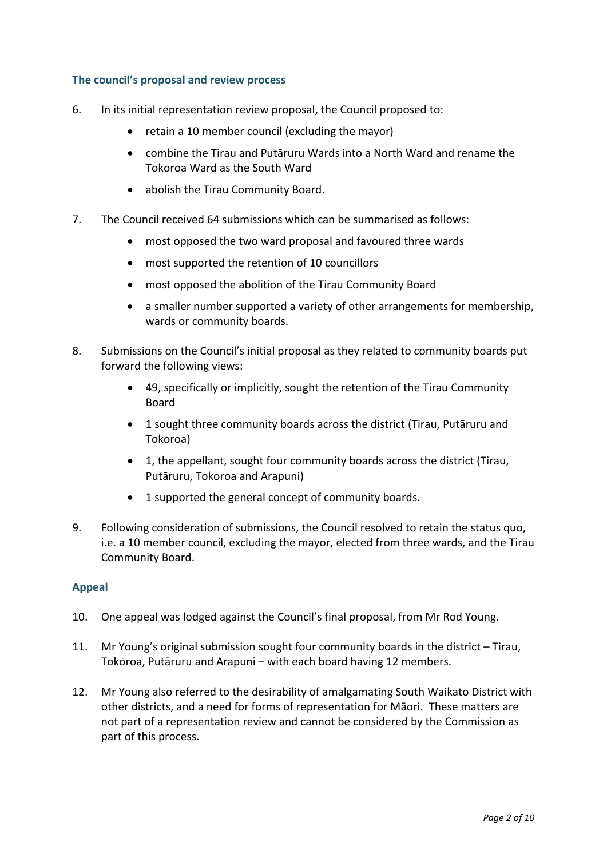## **The council's proposal and review process**

- 6. In its initial representation review proposal, the Council proposed to:
	- retain a 10 member council (excluding the mayor)
	- combine the Tirau and Putāruru Wards into a North Ward and rename the Tokoroa Ward as the South Ward
	- abolish the Tirau Community Board.
- 7. The Council received 64 submissions which can be summarised as follows:
	- most opposed the two ward proposal and favoured three wards
	- most supported the retention of 10 councillors
	- most opposed the abolition of the Tirau Community Board
	- a smaller number supported a variety of other arrangements for membership, wards or community boards.
- 8. Submissions on the Council's initial proposal as they related to community boards put forward the following views:
	- 49, specifically or implicitly, sought the retention of the Tirau Community Board
	- 1 sought three community boards across the district (Tirau, Putāruru and Tokoroa)
	- 1, the appellant, sought four community boards across the district (Tirau, Putāruru, Tokoroa and Arapuni)
	- 1 supported the general concept of community boards.
- 9. Following consideration of submissions, the Council resolved to retain the status quo, i.e. a 10 member council, excluding the mayor, elected from three wards, and the Tirau Community Board.

#### **Appeal**

- 10. One appeal was lodged against the Council's final proposal, from Mr Rod Young.
- 11. Mr Young's original submission sought four community boards in the district Tirau, Tokoroa, Putāruru and Arapuni – with each board having 12 members.
- 12. Mr Young also referred to the desirability of amalgamating South Waikato District with other districts, and a need for forms of representation for Māori. These matters are not part of a representation review and cannot be considered by the Commission as part of this process.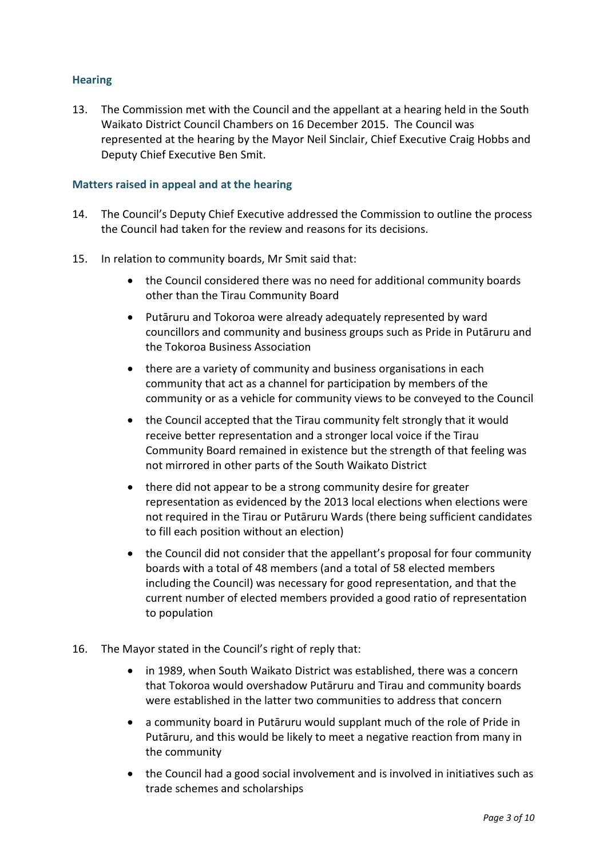## **Hearing**

13. The Commission met with the Council and the appellant at a hearing held in the South Waikato District Council Chambers on 16 December 2015. The Council was represented at the hearing by the Mayor Neil Sinclair, Chief Executive Craig Hobbs and Deputy Chief Executive Ben Smit.

#### **Matters raised in appeal and at the hearing**

- 14. The Council's Deputy Chief Executive addressed the Commission to outline the process the Council had taken for the review and reasons for its decisions.
- 15. In relation to community boards, Mr Smit said that:
	- the Council considered there was no need for additional community boards other than the Tirau Community Board
	- Putāruru and Tokoroa were already adequately represented by ward councillors and community and business groups such as Pride in Putāruru and the Tokoroa Business Association
	- there are a variety of community and business organisations in each community that act as a channel for participation by members of the community or as a vehicle for community views to be conveyed to the Council
	- the Council accepted that the Tirau community felt strongly that it would receive better representation and a stronger local voice if the Tirau Community Board remained in existence but the strength of that feeling was not mirrored in other parts of the South Waikato District
	- there did not appear to be a strong community desire for greater representation as evidenced by the 2013 local elections when elections were not required in the Tirau or Putāruru Wards (there being sufficient candidates to fill each position without an election)
	- the Council did not consider that the appellant's proposal for four community boards with a total of 48 members (and a total of 58 elected members including the Council) was necessary for good representation, and that the current number of elected members provided a good ratio of representation to population
- 16. The Mayor stated in the Council's right of reply that:
	- in 1989, when South Waikato District was established, there was a concern that Tokoroa would overshadow Putāruru and Tirau and community boards were established in the latter two communities to address that concern
	- a community board in Putāruru would supplant much of the role of Pride in Putāruru, and this would be likely to meet a negative reaction from many in the community
	- the Council had a good social involvement and is involved in initiatives such as trade schemes and scholarships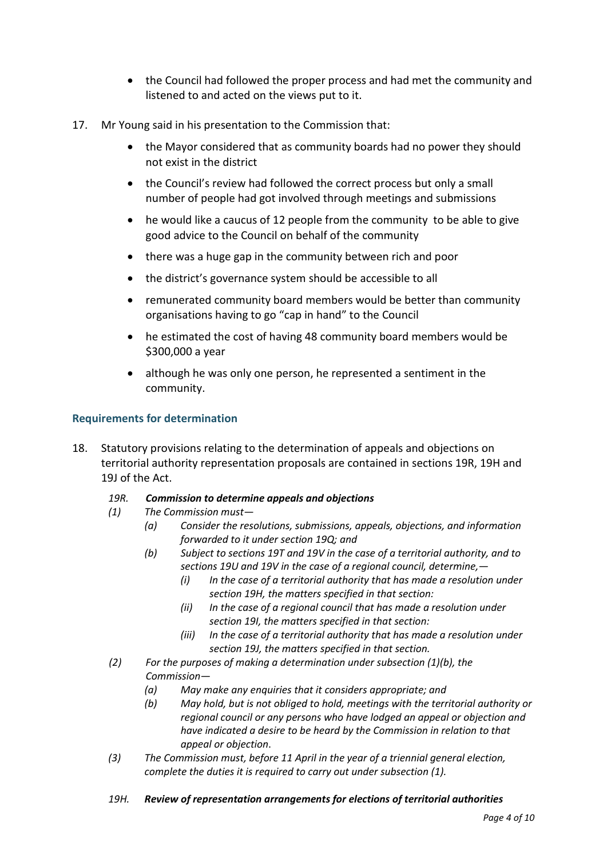- the Council had followed the proper process and had met the community and listened to and acted on the views put to it.
- 17. Mr Young said in his presentation to the Commission that:
	- the Mayor considered that as community boards had no power they should not exist in the district
	- the Council's review had followed the correct process but only a small number of people had got involved through meetings and submissions
	- he would like a caucus of 12 people from the community to be able to give good advice to the Council on behalf of the community
	- there was a huge gap in the community between rich and poor
	- the district's governance system should be accessible to all
	- remunerated community board members would be better than community organisations having to go "cap in hand" to the Council
	- he estimated the cost of having 48 community board members would be \$300,000 a year
	- although he was only one person, he represented a sentiment in the community.

# **Requirements for determination**

18. Statutory provisions relating to the determination of appeals and objections on territorial authority representation proposals are contained in sections 19R, 19H and 19J of the Act.

#### *19R. Commission to determine appeals and objections*

- *(1) The Commission must—*
	- *(a) Consider the resolutions, submissions, appeals, objections, and information forwarded to it under section 19Q; and*
	- *(b) Subject to sections 19T and 19V in the case of a territorial authority, and to sections 19U and 19V in the case of a regional council, determine,—*
		- *(i) In the case of a territorial authority that has made a resolution under section 19H, the matters specified in that section:*
		- *(ii) In the case of a regional council that has made a resolution under section 19I, the matters specified in that section:*
		- *(iii) In the case of a territorial authority that has made a resolution under section 19J, the matters specified in that section.*
- *(2) For the purposes of making a determination under subsection (1)(b), the Commission—*
	- *(a) May make any enquiries that it considers appropriate; and*
	- *(b) May hold, but is not obliged to hold, meetings with the territorial authority or regional council or any persons who have lodged an appeal or objection and have indicated a desire to be heard by the Commission in relation to that appeal or objection*.
- *(3) The Commission must, before 11 April in the year of a triennial general election, complete the duties it is required to carry out under subsection (1).*
- *19H. Review of representation arrangements for elections of territorial authorities*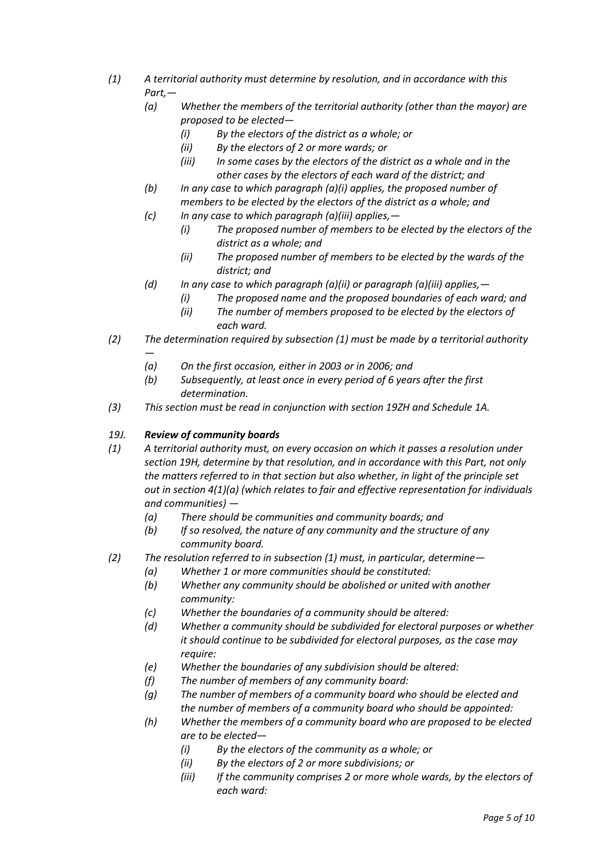- *(1) A territorial authority must determine by resolution, and in accordance with this Part,—*
	- *(a) Whether the members of the territorial authority (other than the mayor) are proposed to be elected—*
		- *(i) By the electors of the district as a whole; or*
		- *(ii) By the electors of 2 or more wards; or*
		- *(iii) In some cases by the electors of the district as a whole and in the other cases by the electors of each ward of the district; and*
	- *(b) In any case to which paragraph (a)(i) applies, the proposed number of members to be elected by the electors of the district as a whole; and*
	- *(c) In any case to which paragraph (a)(iii) applies,—*
		- *(i) The proposed number of members to be elected by the electors of the district as a whole; and*
		- *(ii) The proposed number of members to be elected by the wards of the district; and*
	- *(d) In any case to which paragraph (a)(ii) or paragraph (a)(iii) applies,—*
		- *(i) The proposed name and the proposed boundaries of each ward; and*
		- *(ii) The number of members proposed to be elected by the electors of each ward.*
- *(2) The determination required by subsection (1) must be made by a territorial authority* 
	- *— (a) On the first occasion, either in 2003 or in 2006; and*
	- *(b) Subsequently, at least once in every period of 6 years after the first determination.*
- *(3) This section must be read in conjunction with section 19ZH and Schedule 1A.*

#### *19J. Review of community boards*

- *(1) A territorial authority must, on every occasion on which it passes a resolution under section 19H, determine by that resolution, and in accordance with this Part, not only the matters referred to in that section but also whether, in light of the principle set out in section 4(1)(a) (which relates to fair and effective representation for individuals and communities) —*
	- *(a) There should be communities and community boards; and*
	- *(b) If so resolved, the nature of any community and the structure of any community board.*
- *(2) The resolution referred to in subsection (1) must, in particular, determine—*
	- *(a) Whether 1 or more communities should be constituted:*
	- *(b) Whether any community should be abolished or united with another community:*
	- *(c) Whether the boundaries of a community should be altered:*
	- *(d) Whether a community should be subdivided for electoral purposes or whether it should continue to be subdivided for electoral purposes, as the case may require:*
	- *(e) Whether the boundaries of any subdivision should be altered:*
	- *(f) The number of members of any community board:*
	- *(g) The number of members of a community board who should be elected and the number of members of a community board who should be appointed:*
	- *(h) Whether the members of a community board who are proposed to be elected are to be elected—*
		- *(i) By the electors of the community as a whole; or*
		- *(ii) By the electors of 2 or more subdivisions; or*
		- *(iii) If the community comprises 2 or more whole wards, by the electors of each ward:*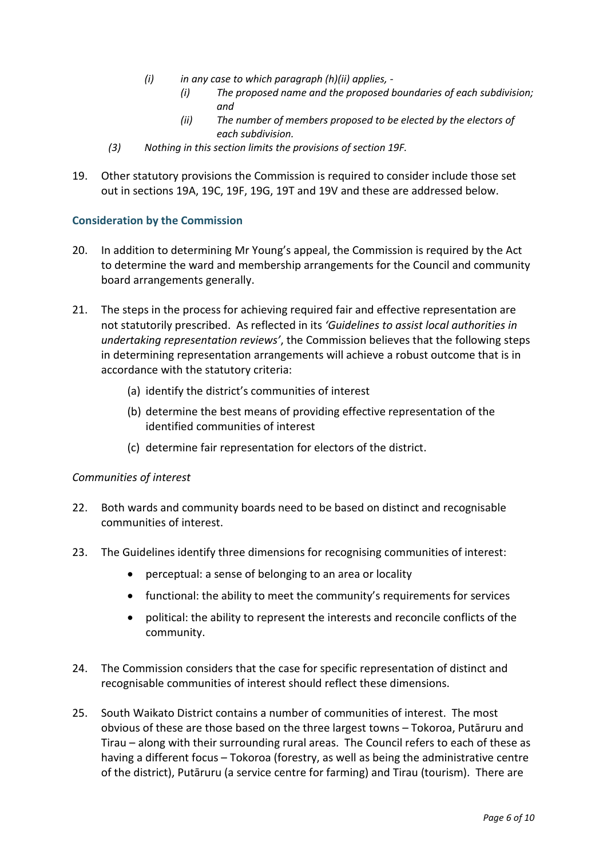- *(i) in any case to which paragraph (h)(ii) applies, -*
	- *(i) The proposed name and the proposed boundaries of each subdivision; and*
	- *(ii) The number of members proposed to be elected by the electors of each subdivision.*
- *(3) Nothing in this section limits the provisions of section 19F.*
- 19. Other statutory provisions the Commission is required to consider include those set out in sections 19A, 19C, 19F, 19G, 19T and 19V and these are addressed below.

# **Consideration by the Commission**

- 20. In addition to determining Mr Young's appeal, the Commission is required by the Act to determine the ward and membership arrangements for the Council and community board arrangements generally.
- 21. The steps in the process for achieving required fair and effective representation are not statutorily prescribed. As reflected in its *'Guidelines to assist local authorities in undertaking representation reviews'*, the Commission believes that the following steps in determining representation arrangements will achieve a robust outcome that is in accordance with the statutory criteria:
	- (a) identify the district's communities of interest
	- (b) determine the best means of providing effective representation of the identified communities of interest
	- (c) determine fair representation for electors of the district.

#### *Communities of interest*

- 22. Both wards and community boards need to be based on distinct and recognisable communities of interest.
- 23. The Guidelines identify three dimensions for recognising communities of interest:
	- perceptual: a sense of belonging to an area or locality
	- functional: the ability to meet the community's requirements for services
	- political: the ability to represent the interests and reconcile conflicts of the community.
- 24. The Commission considers that the case for specific representation of distinct and recognisable communities of interest should reflect these dimensions.
- 25. South Waikato District contains a number of communities of interest. The most obvious of these are those based on the three largest towns – Tokoroa, Putāruru and Tirau – along with their surrounding rural areas. The Council refers to each of these as having a different focus – Tokoroa (forestry, as well as being the administrative centre of the district), Putāruru (a service centre for farming) and Tirau (tourism). There are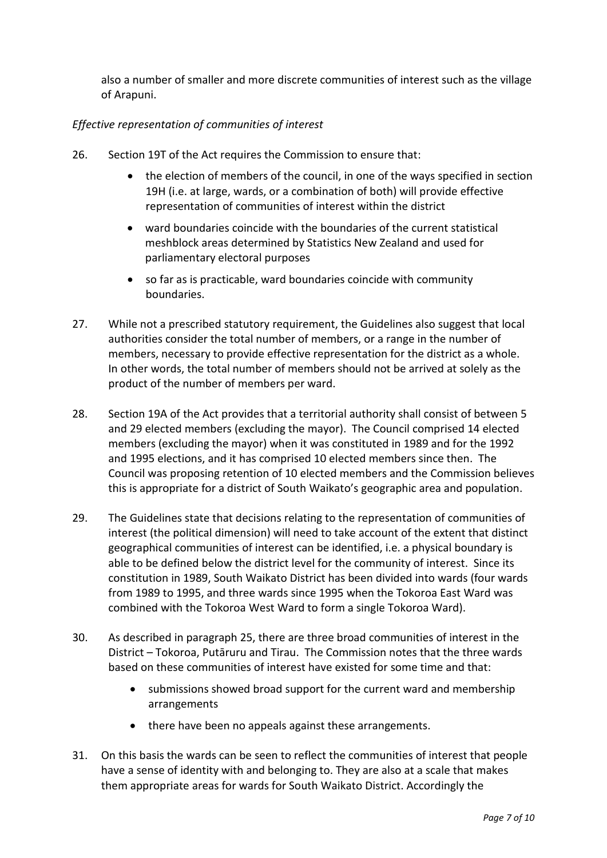also a number of smaller and more discrete communities of interest such as the village of Arapuni.

# *Effective representation of communities of interest*

- 26. Section 19T of the Act requires the Commission to ensure that:
	- the election of members of the council, in one of the ways specified in section 19H (i.e. at large, wards, or a combination of both) will provide effective representation of communities of interest within the district
	- ward boundaries coincide with the boundaries of the current statistical meshblock areas determined by Statistics New Zealand and used for parliamentary electoral purposes
	- so far as is practicable, ward boundaries coincide with community boundaries.
- 27. While not a prescribed statutory requirement, the Guidelines also suggest that local authorities consider the total number of members, or a range in the number of members, necessary to provide effective representation for the district as a whole. In other words, the total number of members should not be arrived at solely as the product of the number of members per ward.
- 28. Section 19A of the Act provides that a territorial authority shall consist of between 5 and 29 elected members (excluding the mayor). The Council comprised 14 elected members (excluding the mayor) when it was constituted in 1989 and for the 1992 and 1995 elections, and it has comprised 10 elected members since then. The Council was proposing retention of 10 elected members and the Commission believes this is appropriate for a district of South Waikato's geographic area and population.
- 29. The Guidelines state that decisions relating to the representation of communities of interest (the political dimension) will need to take account of the extent that distinct geographical communities of interest can be identified, i.e. a physical boundary is able to be defined below the district level for the community of interest. Since its constitution in 1989, South Waikato District has been divided into wards (four wards from 1989 to 1995, and three wards since 1995 when the Tokoroa East Ward was combined with the Tokoroa West Ward to form a single Tokoroa Ward).
- 30. As described in paragraph 25, there are three broad communities of interest in the District – Tokoroa, Putāruru and Tirau. The Commission notes that the three wards based on these communities of interest have existed for some time and that:
	- submissions showed broad support for the current ward and membership arrangements
	- there have been no appeals against these arrangements.
- 31. On this basis the wards can be seen to reflect the communities of interest that people have a sense of identity with and belonging to. They are also at a scale that makes them appropriate areas for wards for South Waikato District. Accordingly the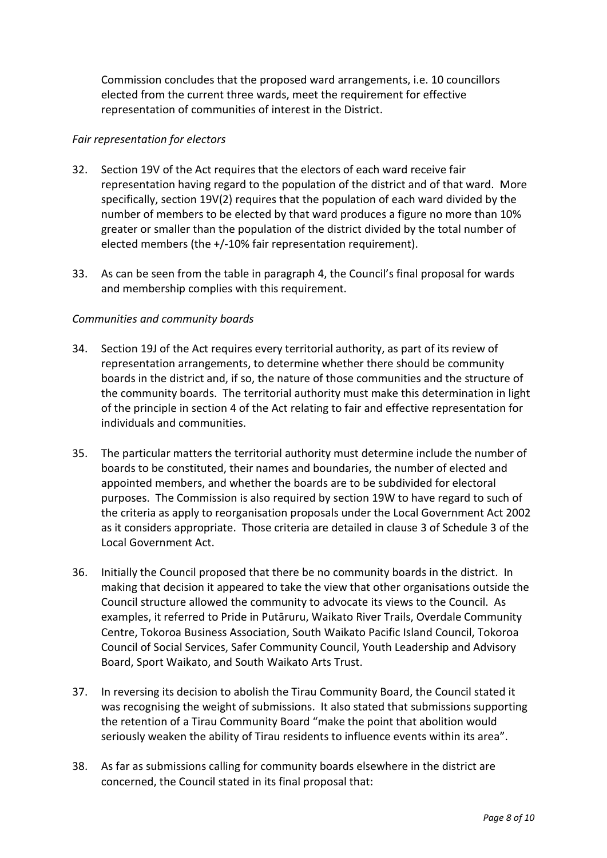Commission concludes that the proposed ward arrangements, i.e. 10 councillors elected from the current three wards, meet the requirement for effective representation of communities of interest in the District.

# *Fair representation for electors*

- 32. Section 19V of the Act requires that the electors of each ward receive fair representation having regard to the population of the district and of that ward. More specifically, section 19V(2) requires that the population of each ward divided by the number of members to be elected by that ward produces a figure no more than 10% greater or smaller than the population of the district divided by the total number of elected members (the +/-10% fair representation requirement).
- 33. As can be seen from the table in paragraph 4, the Council's final proposal for wards and membership complies with this requirement.

# *Communities and community boards*

- 34. Section 19J of the Act requires every territorial authority, as part of its review of representation arrangements, to determine whether there should be community boards in the district and, if so, the nature of those communities and the structure of the community boards. The territorial authority must make this determination in light of the principle in section 4 of the Act relating to fair and effective representation for individuals and communities.
- 35. The particular matters the territorial authority must determine include the number of boards to be constituted, their names and boundaries, the number of elected and appointed members, and whether the boards are to be subdivided for electoral purposes. The Commission is also required by section 19W to have regard to such of the criteria as apply to reorganisation proposals under the Local Government Act 2002 as it considers appropriate. Those criteria are detailed in clause 3 of Schedule 3 of the Local Government Act.
- 36. Initially the Council proposed that there be no community boards in the district. In making that decision it appeared to take the view that other organisations outside the Council structure allowed the community to advocate its views to the Council. As examples, it referred to Pride in Putāruru, Waikato River Trails, Overdale Community Centre, Tokoroa Business Association, South Waikato Pacific Island Council, Tokoroa Council of Social Services, Safer Community Council, Youth Leadership and Advisory Board, Sport Waikato, and South Waikato Arts Trust.
- 37. In reversing its decision to abolish the Tirau Community Board, the Council stated it was recognising the weight of submissions. It also stated that submissions supporting the retention of a Tirau Community Board "make the point that abolition would seriously weaken the ability of Tirau residents to influence events within its area".
- 38. As far as submissions calling for community boards elsewhere in the district are concerned, the Council stated in its final proposal that: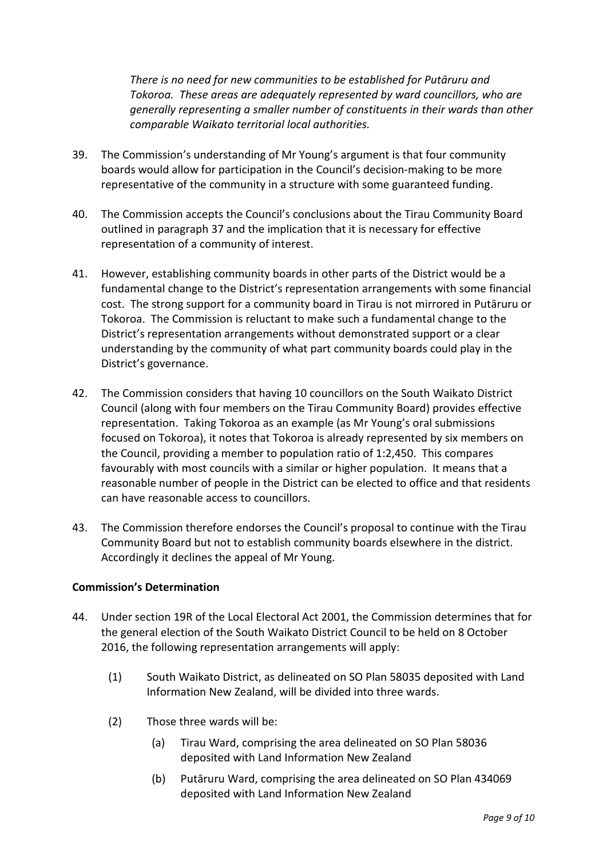*There is no need for new communities to be established for Putāruru and Tokoroa. These areas are adequately represented by ward councillors, who are generally representing a smaller number of constituents in their wards than other comparable Waikato territorial local authorities.*

- 39. The Commission's understanding of Mr Young's argument is that four community boards would allow for participation in the Council's decision-making to be more representative of the community in a structure with some guaranteed funding.
- 40. The Commission accepts the Council's conclusions about the Tirau Community Board outlined in paragraph 37 and the implication that it is necessary for effective representation of a community of interest.
- 41. However, establishing community boards in other parts of the District would be a fundamental change to the District's representation arrangements with some financial cost. The strong support for a community board in Tirau is not mirrored in Putāruru or Tokoroa. The Commission is reluctant to make such a fundamental change to the District's representation arrangements without demonstrated support or a clear understanding by the community of what part community boards could play in the District's governance.
- 42. The Commission considers that having 10 councillors on the South Waikato District Council (along with four members on the Tirau Community Board) provides effective representation. Taking Tokoroa as an example (as Mr Young's oral submissions focused on Tokoroa), it notes that Tokoroa is already represented by six members on the Council, providing a member to population ratio of 1:2,450. This compares favourably with most councils with a similar or higher population. It means that a reasonable number of people in the District can be elected to office and that residents can have reasonable access to councillors.
- 43. The Commission therefore endorses the Council's proposal to continue with the Tirau Community Board but not to establish community boards elsewhere in the district. Accordingly it declines the appeal of Mr Young.

#### **Commission's Determination**

- 44. Under section 19R of the Local Electoral Act 2001, the Commission determines that for the general election of the South Waikato District Council to be held on 8 October 2016, the following representation arrangements will apply:
	- (1) South Waikato District, as delineated on SO Plan 58035 deposited with Land Information New Zealand, will be divided into three wards.
	- (2) Those three wards will be:
		- (a) Tirau Ward, comprising the area delineated on SO Plan 58036 deposited with Land Information New Zealand
		- (b) Putāruru Ward, comprising the area delineated on SO Plan 434069 deposited with Land Information New Zealand